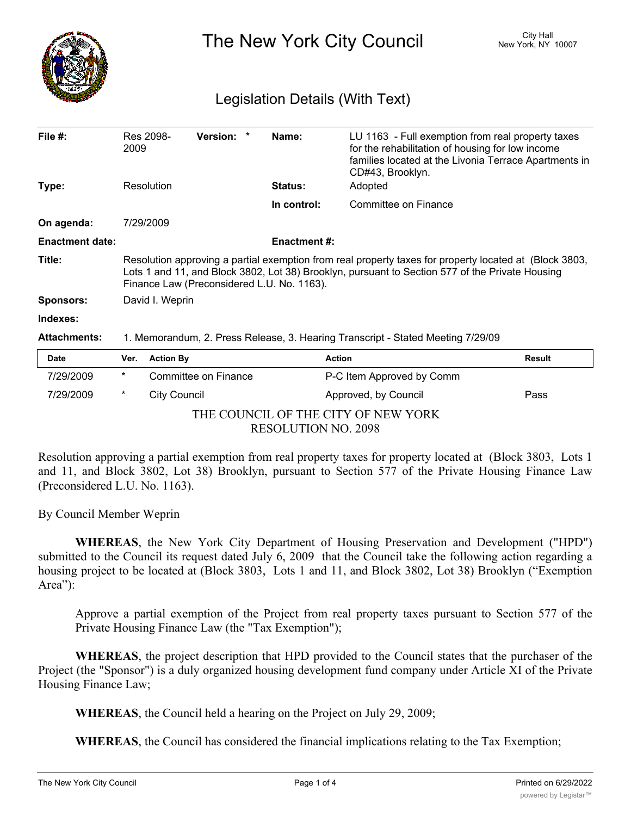

The New York City Council New York, NY 10007

# Legislation Details (With Text)

| File $#$ :             | 2009                                                                                                                                                                                                                                                    | Res 2098-           | Version: *           |  | Name:               | LU 1163 - Full exemption from real property taxes<br>for the rehabilitation of housing for low income<br>families located at the Livonia Terrace Apartments in<br>CD#43, Brooklyn. |        |
|------------------------|---------------------------------------------------------------------------------------------------------------------------------------------------------------------------------------------------------------------------------------------------------|---------------------|----------------------|--|---------------------|------------------------------------------------------------------------------------------------------------------------------------------------------------------------------------|--------|
| Type:                  |                                                                                                                                                                                                                                                         | Resolution          |                      |  | <b>Status:</b>      | Adopted                                                                                                                                                                            |        |
|                        |                                                                                                                                                                                                                                                         |                     |                      |  | In control:         | Committee on Finance                                                                                                                                                               |        |
| On agenda:             | 7/29/2009                                                                                                                                                                                                                                               |                     |                      |  |                     |                                                                                                                                                                                    |        |
| <b>Enactment date:</b> |                                                                                                                                                                                                                                                         |                     |                      |  | <b>Enactment #:</b> |                                                                                                                                                                                    |        |
| Title:                 | Resolution approving a partial exemption from real property taxes for property located at (Block 3803,<br>Lots 1 and 11, and Block 3802, Lot 38) Brooklyn, pursuant to Section 577 of the Private Housing<br>Finance Law (Preconsidered L.U. No. 1163). |                     |                      |  |                     |                                                                                                                                                                                    |        |
| <b>Sponsors:</b>       | David I. Weprin                                                                                                                                                                                                                                         |                     |                      |  |                     |                                                                                                                                                                                    |        |
| Indexes:               |                                                                                                                                                                                                                                                         |                     |                      |  |                     |                                                                                                                                                                                    |        |
| <b>Attachments:</b>    | 1. Memorandum, 2. Press Release, 3. Hearing Transcript - Stated Meeting 7/29/09                                                                                                                                                                         |                     |                      |  |                     |                                                                                                                                                                                    |        |
| Date                   | Ver.                                                                                                                                                                                                                                                    | <b>Action By</b>    |                      |  |                     | <b>Action</b>                                                                                                                                                                      | Result |
| 7/29/2009              | $^\star$                                                                                                                                                                                                                                                |                     | Committee on Finance |  |                     | P-C Item Approved by Comm                                                                                                                                                          |        |
| 7/29/2009              | *                                                                                                                                                                                                                                                       | <b>City Council</b> |                      |  |                     | Approved, by Council                                                                                                                                                               | Pass   |

THE COUNCIL OF THE CITY OF NEW YORK RESOLUTION NO. 2098

Resolution approving a partial exemption from real property taxes for property located at (Block 3803, Lots 1 and 11, and Block 3802, Lot 38) Brooklyn, pursuant to Section 577 of the Private Housing Finance Law (Preconsidered L.U. No. 1163).

By Council Member Weprin

**WHEREAS**, the New York City Department of Housing Preservation and Development ("HPD") submitted to the Council its request dated July 6, 2009 that the Council take the following action regarding a housing project to be located at (Block 3803, Lots 1 and 11, and Block 3802, Lot 38) Brooklyn ("Exemption Area"):

Approve a partial exemption of the Project from real property taxes pursuant to Section 577 of the Private Housing Finance Law (the "Tax Exemption");

**WHEREAS**, the project description that HPD provided to the Council states that the purchaser of the Project (the "Sponsor") is a duly organized housing development fund company under Article XI of the Private Housing Finance Law;

**WHEREAS**, the Council held a hearing on the Project on July 29, 2009;

**WHEREAS**, the Council has considered the financial implications relating to the Tax Exemption;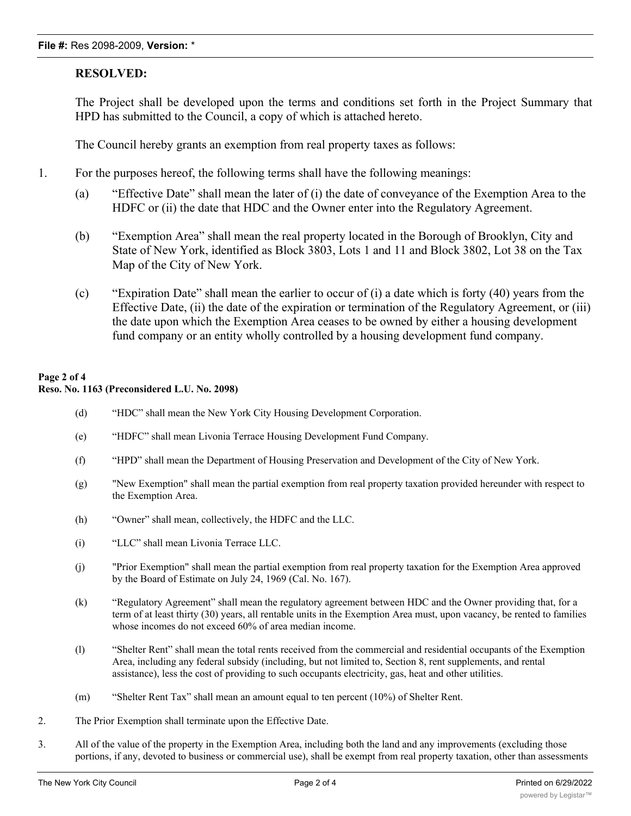## **RESOLVED:**

The Project shall be developed upon the terms and conditions set forth in the Project Summary that HPD has submitted to the Council, a copy of which is attached hereto.

The Council hereby grants an exemption from real property taxes as follows:

- 1. For the purposes hereof, the following terms shall have the following meanings:
	- (a) "Effective Date" shall mean the later of (i) the date of conveyance of the Exemption Area to the HDFC or (ii) the date that HDC and the Owner enter into the Regulatory Agreement.
	- (b) "Exemption Area" shall mean the real property located in the Borough of Brooklyn, City and State of New York, identified as Block 3803, Lots 1 and 11 and Block 3802, Lot 38 on the Tax Map of the City of New York.
	- (c) "Expiration Date" shall mean the earlier to occur of (i) a date which is forty (40) years from the Effective Date, (ii) the date of the expiration or termination of the Regulatory Agreement, or (iii) the date upon which the Exemption Area ceases to be owned by either a housing development fund company or an entity wholly controlled by a housing development fund company.

## **Page 2 of 4 Reso. No. 1163 (Preconsidered L.U. No. 2098)**

- (d) "HDC" shall mean the New York City Housing Development Corporation.
- (e) "HDFC" shall mean Livonia Terrace Housing Development Fund Company.
- (f) "HPD" shall mean the Department of Housing Preservation and Development of the City of New York.
- (g) "New Exemption" shall mean the partial exemption from real property taxation provided hereunder with respect to the Exemption Area.
- (h) "Owner" shall mean, collectively, the HDFC and the LLC.
- (i) "LLC" shall mean Livonia Terrace LLC.
- (j) "Prior Exemption" shall mean the partial exemption from real property taxation for the Exemption Area approved by the Board of Estimate on July 24, 1969 (Cal. No. 167).
- (k) "Regulatory Agreement" shall mean the regulatory agreement between HDC and the Owner providing that, for a term of at least thirty (30) years, all rentable units in the Exemption Area must, upon vacancy, be rented to families whose incomes do not exceed 60% of area median income.
- (l) "Shelter Rent" shall mean the total rents received from the commercial and residential occupants of the Exemption Area, including any federal subsidy (including, but not limited to, Section 8, rent supplements, and rental assistance), less the cost of providing to such occupants electricity, gas, heat and other utilities.
- (m) "Shelter Rent Tax" shall mean an amount equal to ten percent (10%) of Shelter Rent.
- 2. The Prior Exemption shall terminate upon the Effective Date.
- 3. All of the value of the property in the Exemption Area, including both the land and any improvements (excluding those portions, if any, devoted to business or commercial use), shall be exempt from real property taxation, other than assessments